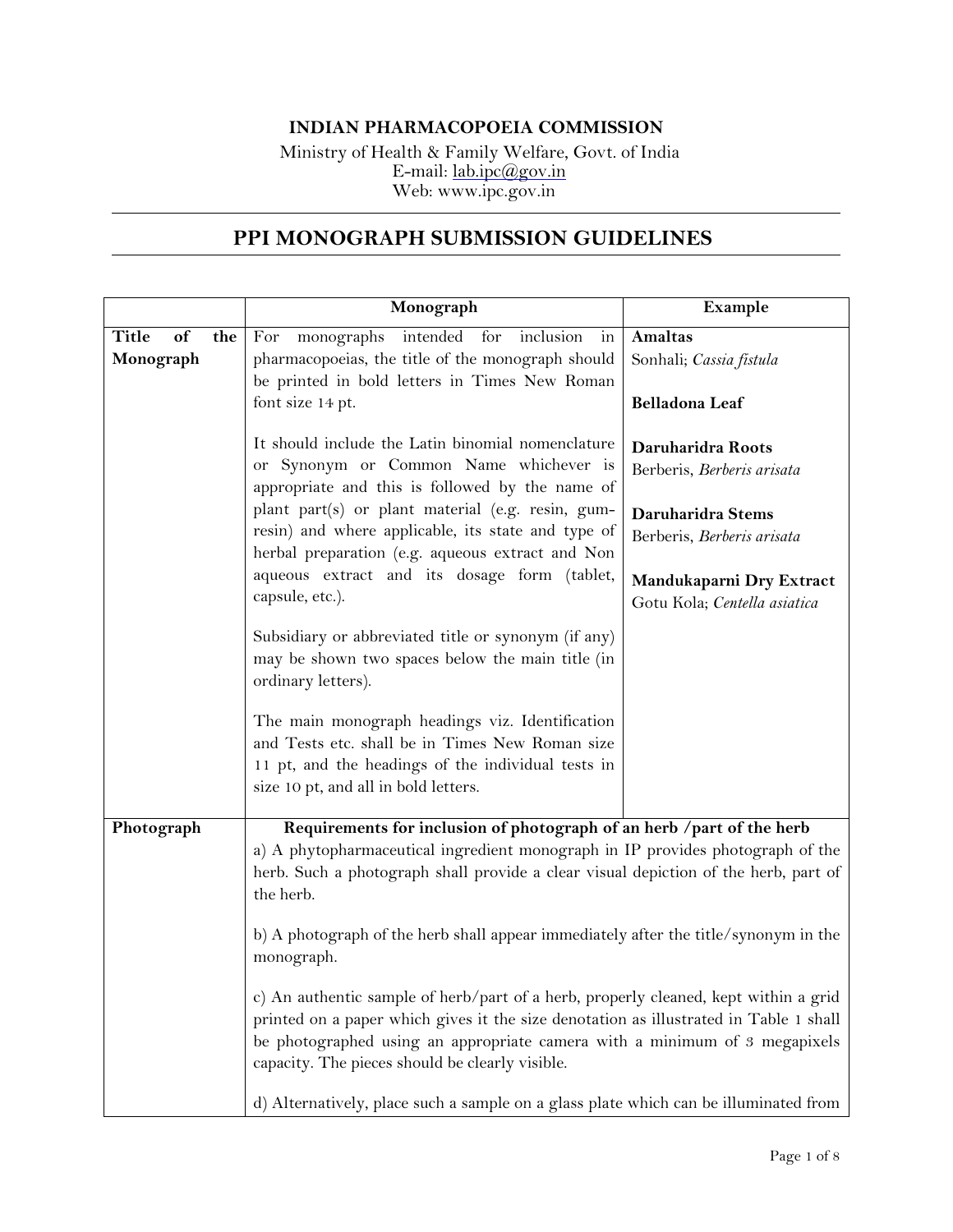## **INDIAN PHARMACOPOEIA COMMISSION**

Ministry of Health & Family Welfare, Govt. of India E-mail: [lab.ipc@gov.in](mailto:lab.ipc@gov.in) Web: [www.ipc.gov.in](http://www.ipc.gov.in/)

## **PPI MONOGRAPH SUBMISSION GUIDELINES**

|                                        | Monograph                                                                                                                                                                                                                                                                                                     | Example                                                  |
|----------------------------------------|---------------------------------------------------------------------------------------------------------------------------------------------------------------------------------------------------------------------------------------------------------------------------------------------------------------|----------------------------------------------------------|
| <b>Title</b><br>of<br>the<br>Monograph | monographs intended for<br>inclusion<br>For<br>$\operatorname{in}$<br>pharmacopoeias, the title of the monograph should<br>be printed in bold letters in Times New Roman                                                                                                                                      | <b>Amaltas</b><br>Sonhali; Cassia fistula                |
|                                        | font size 14 pt.                                                                                                                                                                                                                                                                                              | Belladona Leaf                                           |
|                                        | It should include the Latin binomial nomenclature<br>or Synonym or Common Name whichever is<br>appropriate and this is followed by the name of                                                                                                                                                                | Daruharidra Roots<br>Berberis, Berberis arisata          |
|                                        | plant part(s) or plant material (e.g. resin, gum-<br>resin) and where applicable, its state and type of<br>herbal preparation (e.g. aqueous extract and Non                                                                                                                                                   | Daruharidra Stems<br>Berberis, Berberis arisata          |
|                                        | aqueous extract and its dosage form (tablet,<br>capsule, etc.).                                                                                                                                                                                                                                               | Mandukaparni Dry Extract<br>Gotu Kola; Centella asiatica |
|                                        | Subsidiary or abbreviated title or synonym (if any)<br>may be shown two spaces below the main title (in<br>ordinary letters).                                                                                                                                                                                 |                                                          |
|                                        | The main monograph headings viz. Identification<br>and Tests etc. shall be in Times New Roman size<br>11 pt, and the headings of the individual tests in<br>size 10 pt, and all in bold letters.                                                                                                              |                                                          |
| Photograph                             | Requirements for inclusion of photograph of an herb /part of the herb                                                                                                                                                                                                                                         |                                                          |
|                                        | a) A phytopharmaceutical ingredient monograph in IP provides photograph of the<br>herb. Such a photograph shall provide a clear visual depiction of the herb, part of<br>the herb.                                                                                                                            |                                                          |
|                                        | b) A photograph of the herb shall appear immediately after the title/synonym in the<br>monograph.                                                                                                                                                                                                             |                                                          |
|                                        | c) An authentic sample of herb/part of a herb, properly cleaned, kept within a grid<br>printed on a paper which gives it the size denotation as illustrated in Table 1 shall<br>be photographed using an appropriate camera with a minimum of 3 megapixels<br>capacity. The pieces should be clearly visible. |                                                          |
|                                        | d) Alternatively, place such a sample on a glass plate which can be illuminated from                                                                                                                                                                                                                          |                                                          |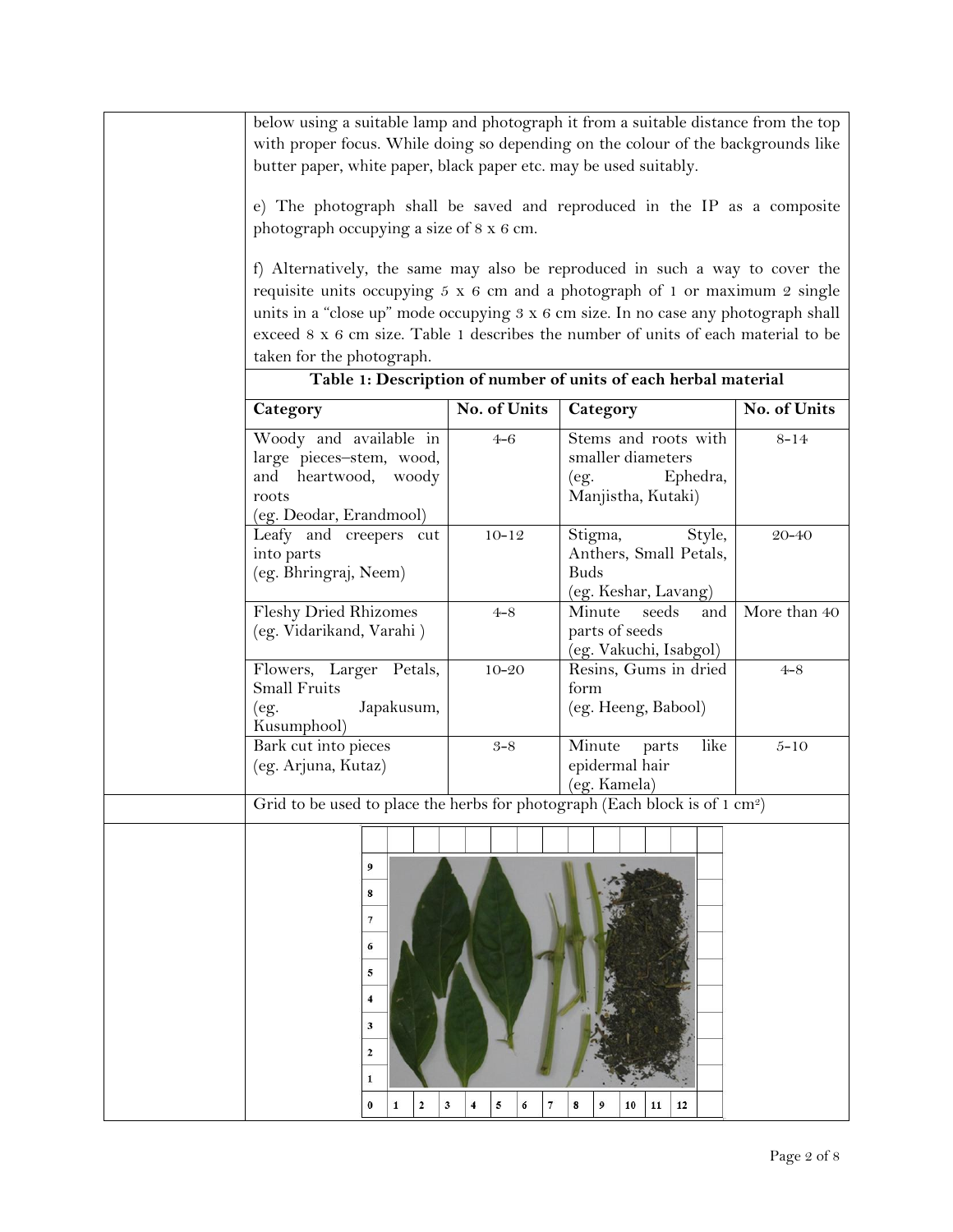| below using a suitable lamp and photograph it from a suitable distance from the top<br>with proper focus. While doing so depending on the colour of the backgrounds like<br>butter paper, white paper, black paper etc. may be used suitably.<br>e) The photograph shall be saved and reproduced in the IP as a composite<br>photograph occupying a size of 8 x 6 cm.<br>f) Alternatively, the same may also be reproduced in such a way to cover the<br>requisite units occupying $5 \times 6$ cm and a photograph of 1 or maximum 2 single<br>units in a "close up" mode occupying 3 x 6 cm size. In no case any photograph shall<br>exceed 8 x 6 cm size. Table 1 describes the number of units of each material to be<br>taken for the photograph. |                                    | Table 1: Description of number of units of each herbal material                     |              |
|--------------------------------------------------------------------------------------------------------------------------------------------------------------------------------------------------------------------------------------------------------------------------------------------------------------------------------------------------------------------------------------------------------------------------------------------------------------------------------------------------------------------------------------------------------------------------------------------------------------------------------------------------------------------------------------------------------------------------------------------------------|------------------------------------|-------------------------------------------------------------------------------------|--------------|
| Category                                                                                                                                                                                                                                                                                                                                                                                                                                                                                                                                                                                                                                                                                                                                               | No. of Units                       | Category                                                                            | No. of Units |
| Woody and available in<br>large pieces-stem, wood,<br>and heartwood, woody<br>roots<br>(eg. Deodar, Erandmool)                                                                                                                                                                                                                                                                                                                                                                                                                                                                                                                                                                                                                                         | $4 - 6$                            | Stems and roots with<br>smaller diameters<br>Ephedra,<br>(eg.<br>Manjistha, Kutaki) | $8 - 14$     |
| Leafy and creepers cut<br>into parts<br>(eg. Bhringraj, Neem)                                                                                                                                                                                                                                                                                                                                                                                                                                                                                                                                                                                                                                                                                          | $10 - 12$                          | Style,<br>Stigma,<br>Anthers, Small Petals,<br><b>Buds</b><br>(eg. Keshar, Lavang)  | $20 - 40$    |
| <b>Fleshy Dried Rhizomes</b><br>(eg. Vidarikand, Varahi)                                                                                                                                                                                                                                                                                                                                                                                                                                                                                                                                                                                                                                                                                               | $4 - 8$                            | Minute<br>seeds<br>and<br>parts of seeds<br>(eg. Vakuchi, Isabgol)                  | More than 40 |
| Flowers, Larger Petals,<br>Small Fruits<br>Japakusum,<br>(eg.<br>Kusumphool)                                                                                                                                                                                                                                                                                                                                                                                                                                                                                                                                                                                                                                                                           | $10 - 20$                          | Resins, Gums in dried<br>form<br>(eg. Heeng, Babool)                                | $4 - 8$      |
| Bark cut into pieces<br>(eg. Arjuna, Kutaz)                                                                                                                                                                                                                                                                                                                                                                                                                                                                                                                                                                                                                                                                                                            | $3 - 8$                            | like<br>Minute<br>parts<br>epidermal hair<br>(eg. Kamela)                           | $5 - 10$     |
| Grid to be used to place the herbs for photograph (Each block is of $1 \text{ cm}^2$ )                                                                                                                                                                                                                                                                                                                                                                                                                                                                                                                                                                                                                                                                 |                                    |                                                                                     |              |
| 9<br>8<br>7<br>6<br>5<br>4<br>3<br>2<br>1<br>$\mathbf{2}$<br>$\bf{0}$<br>$\mathbf{1}$                                                                                                                                                                                                                                                                                                                                                                                                                                                                                                                                                                                                                                                                  | 3<br>5<br>$\overline{7}$<br>6<br>4 | 8<br>12<br>11                                                                       |              |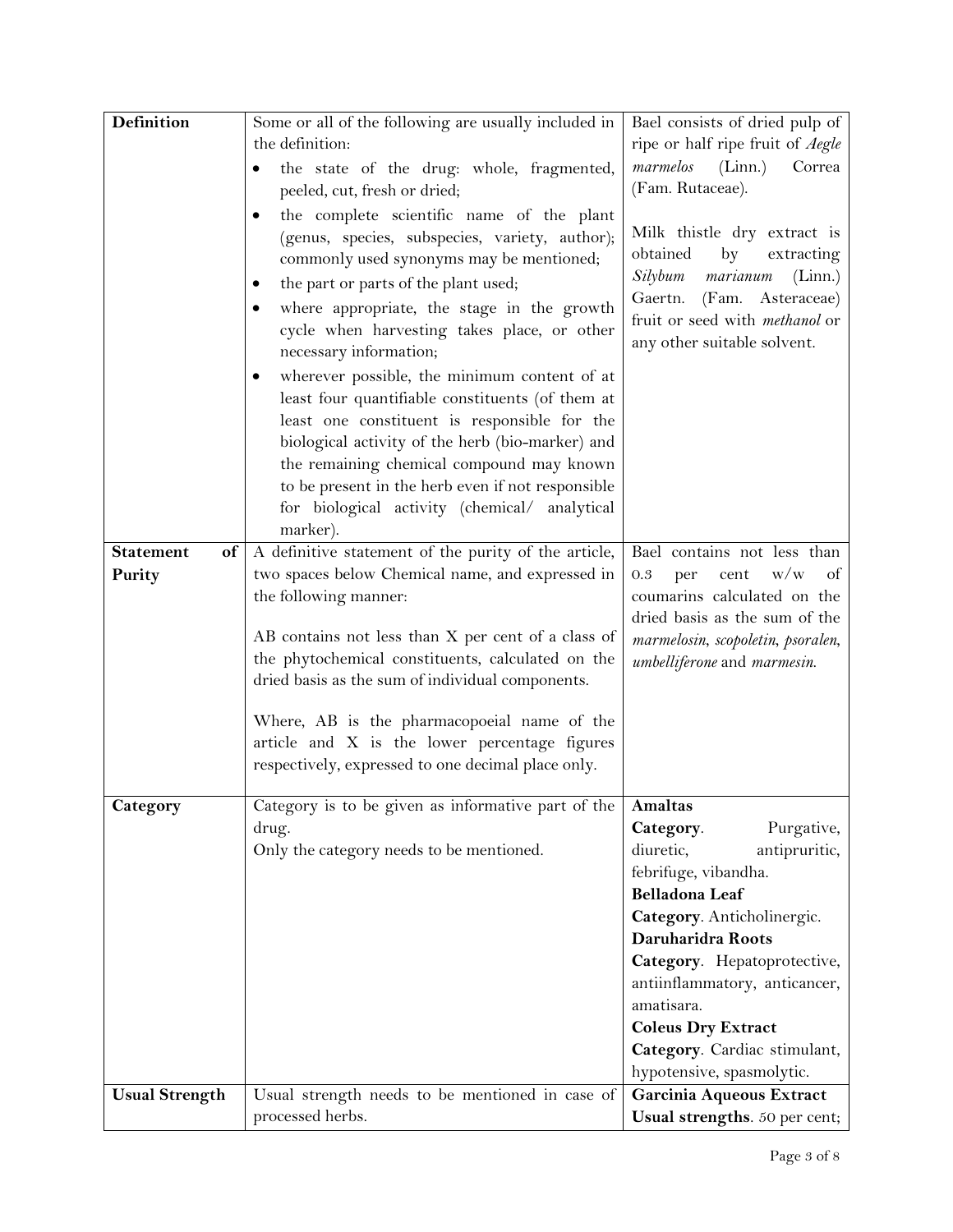| <b>Definition</b>      | Some or all of the following are usually included in       | Bael consists of dried pulp of         |
|------------------------|------------------------------------------------------------|----------------------------------------|
|                        | the definition:                                            | ripe or half ripe fruit of Aegle       |
|                        | the state of the drug: whole, fragmented,<br>٠             | marmelos<br>(Linn.)<br>Correa          |
|                        | peeled, cut, fresh or dried;                               | (Fam. Rutaceae).                       |
|                        | the complete scientific name of the plant                  |                                        |
|                        | (genus, species, subspecies, variety, author);             | Milk thistle dry extract is            |
|                        | commonly used synonyms may be mentioned;                   | obtained<br>by<br>extracting           |
|                        |                                                            | Silybum<br>marianum<br>(Linn.)         |
|                        | the part or parts of the plant used;                       | Asteraceae)<br>Gaertn.<br>(Fam.        |
|                        | where appropriate, the stage in the growth                 | fruit or seed with methanol or         |
|                        | cycle when harvesting takes place, or other                | any other suitable solvent.            |
|                        | necessary information;                                     |                                        |
|                        | wherever possible, the minimum content of at               |                                        |
|                        | least four quantifiable constituents (of them at           |                                        |
|                        | least one constituent is responsible for the               |                                        |
|                        | biological activity of the herb (bio-marker) and           |                                        |
|                        | the remaining chemical compound may known                  |                                        |
|                        | to be present in the herb even if not responsible          |                                        |
|                        | for biological activity (chemical/ analytical              |                                        |
|                        | marker).                                                   |                                        |
| <b>Statement</b><br>of | A definitive statement of the purity of the article,       | Bael contains not less than            |
| Purity                 | two spaces below Chemical name, and expressed in           | W/W<br>0.3<br>per<br>cent<br>of        |
|                        | the following manner:                                      | coumarins calculated on the            |
|                        |                                                            | dried basis as the sum of the          |
|                        | AB contains not less than X per cent of a class of         | marmelosin, scopoletin, psoralen,      |
|                        | the phytochemical constituents, calculated on the          | umbelliferone and marmesin.            |
|                        | dried basis as the sum of individual components.           |                                        |
|                        | Where, AB is the pharmacopoeial name of the                |                                        |
|                        | article and X is the lower percentage figures              |                                        |
|                        | respectively, expressed to one decimal place only.         |                                        |
|                        |                                                            |                                        |
| Category               | Category is to be given as informative part of the Amaltas |                                        |
|                        | drug.                                                      | Purgative,<br>Category.                |
|                        | Only the category needs to be mentioned.                   | diuretic,<br>antipruritic,             |
|                        |                                                            | febrifuge, vibandha.<br>Belladona Leaf |
|                        |                                                            |                                        |
|                        |                                                            | Category. Anticholinergic.             |
|                        |                                                            | Daruharidra Roots                      |
|                        |                                                            | Category. Hepatoprotective,            |
|                        |                                                            | antiinflammatory, anticancer,          |
|                        |                                                            | amatisara.                             |
|                        |                                                            | <b>Coleus Dry Extract</b>              |
|                        |                                                            | Category. Cardiac stimulant,           |
|                        |                                                            | hypotensive, spasmolytic.              |
| <b>Usual Strength</b>  | Usual strength needs to be mentioned in case of            | Garcinia Aqueous Extract               |
|                        | processed herbs.                                           | Usual strengths. 50 per cent;          |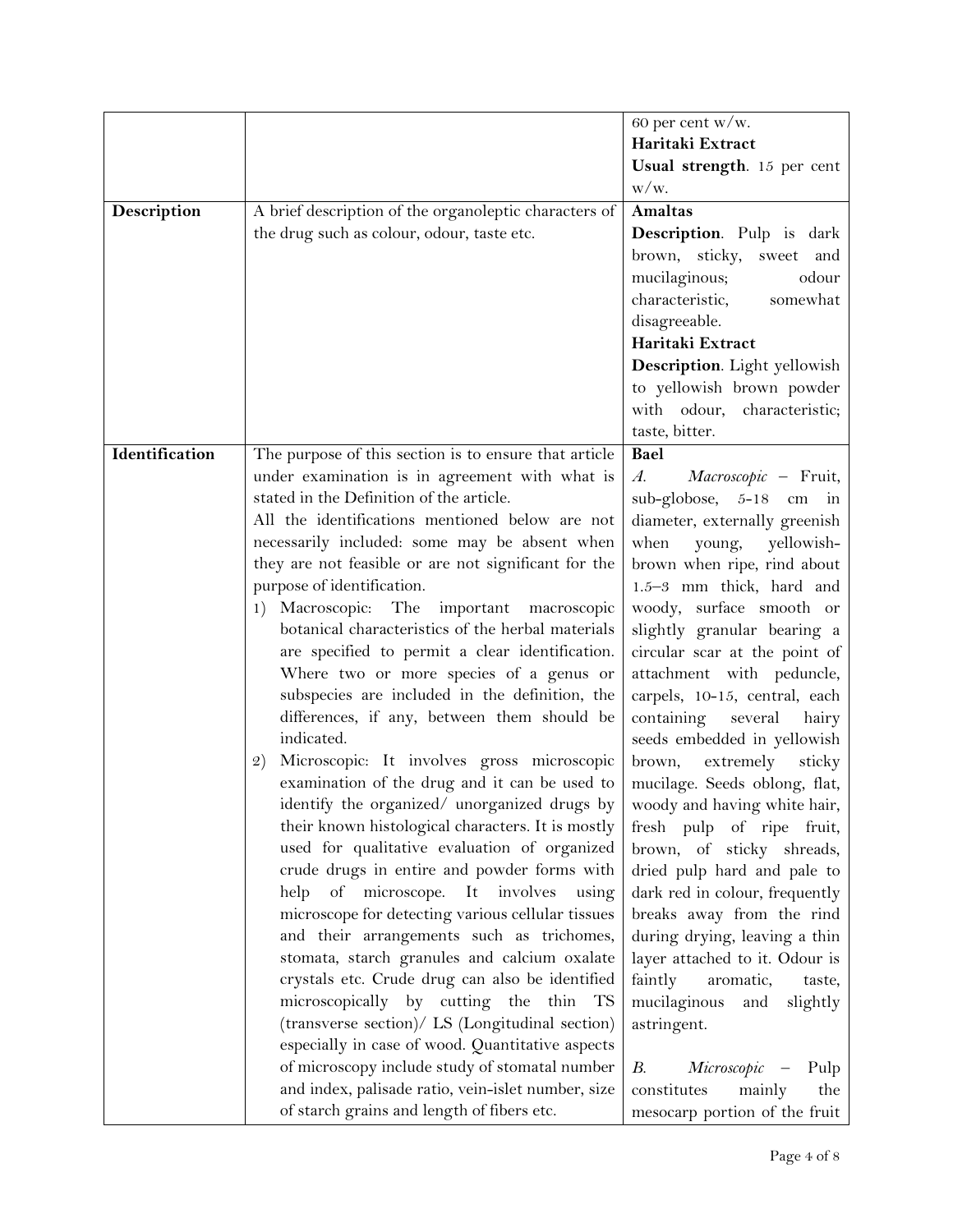|                |                                                                                                | 60 per cent w/w.                                                  |
|----------------|------------------------------------------------------------------------------------------------|-------------------------------------------------------------------|
|                |                                                                                                | Haritaki Extract                                                  |
|                |                                                                                                | Usual strength. 15 per cent                                       |
|                |                                                                                                | $W/W$ .                                                           |
| Description    | A brief description of the organoleptic characters of                                          | <b>Amaltas</b>                                                    |
|                | the drug such as colour, odour, taste etc.                                                     | Description. Pulp is dark                                         |
|                |                                                                                                | brown, sticky, sweet and                                          |
|                |                                                                                                | mucilaginous;<br>odour                                            |
|                |                                                                                                | characteristic,<br>somewhat                                       |
|                |                                                                                                | disagreeable.                                                     |
|                |                                                                                                | Haritaki Extract                                                  |
|                |                                                                                                | Description. Light yellowish                                      |
|                |                                                                                                | to yellowish brown powder                                         |
|                |                                                                                                | with odour, characteristic;                                       |
|                |                                                                                                | taste, bitter.                                                    |
| Identification | The purpose of this section is to ensure that article                                          | Bael                                                              |
|                | under examination is in agreement with what is                                                 | $A$ .<br>Macroscopic - Fruit,                                     |
|                | stated in the Definition of the article.                                                       | $sub-globose$ , 5-18 cm in                                        |
|                | All the identifications mentioned below are not                                                | diameter, externally greenish                                     |
|                | necessarily included: some may be absent when                                                  | young, yellowish-<br>when                                         |
|                | they are not feasible or are not significant for the                                           | brown when ripe, rind about                                       |
|                | purpose of identification.                                                                     | 1.5-3 mm thick, hard and                                          |
|                | 1) Macroscopic: The important<br>macroscopic                                                   | woody, surface smooth or                                          |
|                | botanical characteristics of the herbal materials                                              | slightly granular bearing a                                       |
|                | are specified to permit a clear identification.                                                | circular scar at the point of                                     |
|                | Where two or more species of a genus or                                                        | attachment with peduncle,                                         |
|                | subspecies are included in the definition, the                                                 | carpels, 10-15, central, each                                     |
|                | differences, if any, between them should be                                                    | containing several<br>hairy                                       |
|                | indicated.                                                                                     | seeds embedded in yellowish                                       |
|                | Microscopic: It involves gross microscopic<br>2)                                               | extremely<br>brown,<br>sticky                                     |
|                | examination of the drug and it can be used to                                                  | mucilage. Seeds oblong, flat,                                     |
|                | identify the organized/ unorganized drugs by                                                   | woody and having white hair,                                      |
|                | their known histological characters. It is mostly                                              | fresh pulp of ripe fruit,                                         |
|                | used for qualitative evaluation of organized                                                   | brown, of sticky shreads,                                         |
|                | crude drugs in entire and powder forms with                                                    | dried pulp hard and pale to                                       |
|                | help of microscope. It involves<br>using                                                       | dark red in colour, frequently                                    |
|                | microscope for detecting various cellular tissues<br>and their arrangements such as trichomes, | breaks away from the rind<br>during drying, leaving a thin        |
|                | stomata, starch granules and calcium oxalate                                                   | layer attached to it. Odour is                                    |
|                | crystals etc. Crude drug can also be identified                                                |                                                                   |
|                | microscopically by cutting the thin TS                                                         | faintly<br>aromatic,<br>taste,<br>mucilaginous<br>slightly<br>and |
|                | (transverse section)/ LS (Longitudinal section)                                                | astringent.                                                       |
|                | especially in case of wood. Quantitative aspects                                               |                                                                   |
|                | of microscopy include study of stomatal number                                                 | В.<br>Microscopic -<br>Pulp                                       |
|                | and index, palisade ratio, vein-islet number, size                                             | the<br>constitutes<br>mainly                                      |
|                | of starch grains and length of fibers etc.                                                     | mesocarp portion of the fruit                                     |
|                |                                                                                                |                                                                   |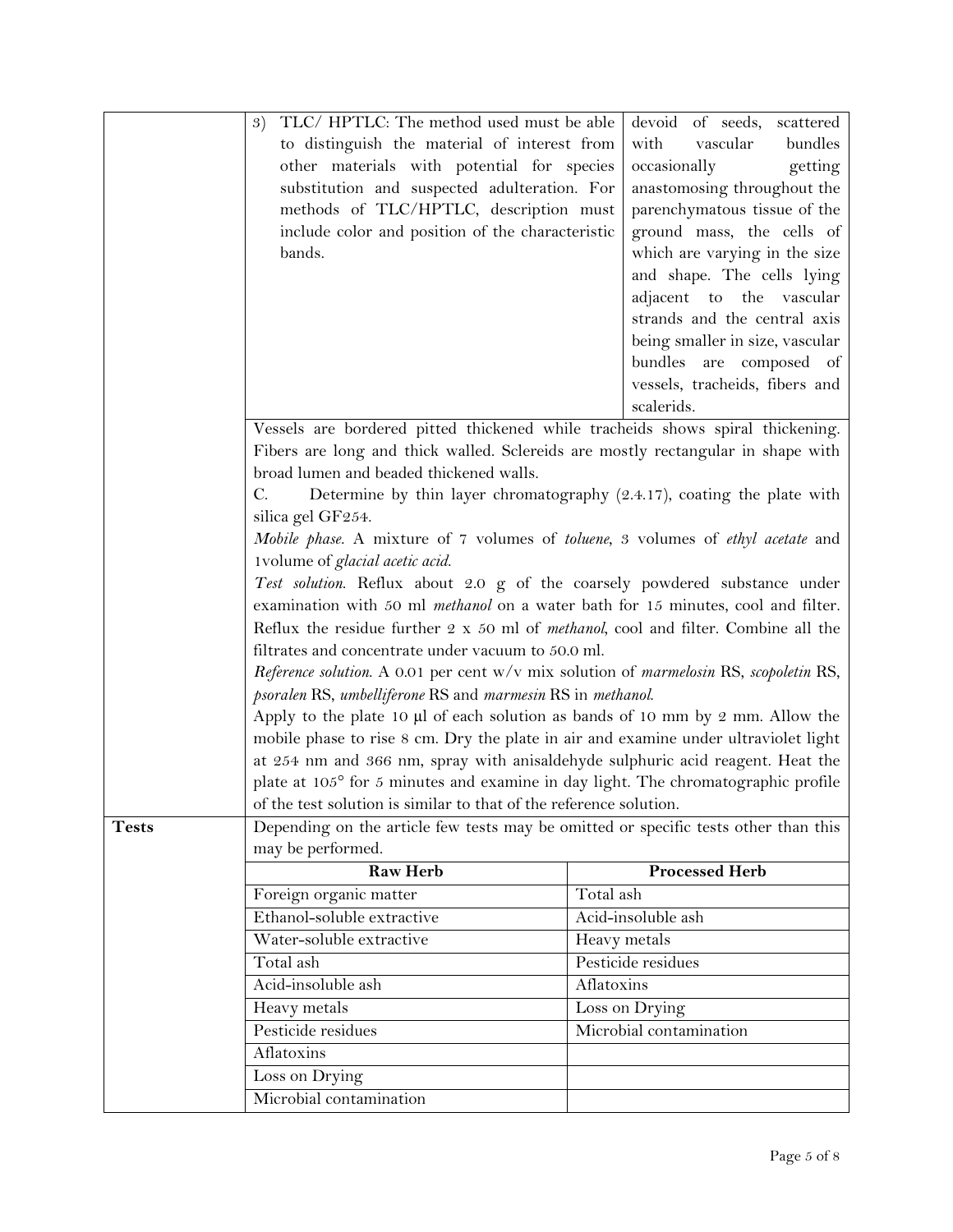|              | TLC/ HPTLC: The method used must be able<br>3)                                                    | devoid of seeds, scattered                                              |
|--------------|---------------------------------------------------------------------------------------------------|-------------------------------------------------------------------------|
|              | to distinguish the material of interest from                                                      | with<br>vascular<br>bundles                                             |
|              | other materials with potential for species                                                        | occasionally<br>getting                                                 |
|              | substitution and suspected adulteration. For                                                      | anastomosing throughout the                                             |
|              | methods of TLC/HPTLC, description must                                                            | parenchymatous tissue of the                                            |
|              | include color and position of the characteristic                                                  | ground mass, the cells of                                               |
|              | bands.                                                                                            | which are varying in the size                                           |
|              |                                                                                                   | and shape. The cells lying                                              |
|              |                                                                                                   | adjacent to the vascular                                                |
|              |                                                                                                   | strands and the central axis                                            |
|              |                                                                                                   | being smaller in size, vascular                                         |
|              |                                                                                                   | bundles are composed of                                                 |
|              |                                                                                                   | vessels, tracheids, fibers and                                          |
|              |                                                                                                   | scalerids.                                                              |
|              | Vessels are bordered pitted thickened while tracheids shows spiral thickening.                    |                                                                         |
|              | Fibers are long and thick walled. Sclereids are mostly rectangular in shape with                  |                                                                         |
|              | broad lumen and beaded thickened walls.                                                           |                                                                         |
|              | C.                                                                                                | Determine by thin layer chromatography (2.4.17), coating the plate with |
|              | silica gel GF254.                                                                                 |                                                                         |
|              | Mobile phase. A mixture of 7 volumes of toluene, 3 volumes of ethyl acetate and                   |                                                                         |
|              | 1volume of glacial acetic acid.                                                                   |                                                                         |
|              | Test solution. Reflux about 2.0 g of the coarsely powdered substance under                        |                                                                         |
|              | examination with 50 ml <i>methanol</i> on a water bath for 15 minutes, cool and filter.           |                                                                         |
|              | Reflux the residue further $2 \times 50$ ml of <i>methanol</i> , cool and filter. Combine all the |                                                                         |
|              | filtrates and concentrate under vacuum to 50.0 ml.                                                |                                                                         |
|              |                                                                                                   |                                                                         |
|              | Reference solution. A 0.01 per cent w/v mix solution of marmelosin RS, scopoletin RS,             |                                                                         |
|              | psoralen RS, umbelliferone RS and marmesin RS in methanol.                                        |                                                                         |
|              | Apply to the plate 10 µl of each solution as bands of 10 mm by 2 mm. Allow the                    |                                                                         |
|              | mobile phase to rise 8 cm. Dry the plate in air and examine under ultraviolet light               |                                                                         |
|              | at 254 nm and 366 nm, spray with anisaldehyde sulphuric acid reagent. Heat the                    |                                                                         |
|              | plate at 105° for 5 minutes and examine in day light. The chromatographic profile                 |                                                                         |
|              | of the test solution is similar to that of the reference solution.                                |                                                                         |
| <b>Tests</b> | Depending on the article few tests may be omitted or specific tests other than this               |                                                                         |
|              | may be performed.                                                                                 |                                                                         |
|              | <b>Raw Herb</b>                                                                                   | <b>Processed Herb</b>                                                   |
|              | Foreign organic matter                                                                            | Total ash                                                               |
|              | Ethanol-soluble extractive                                                                        | Acid-insoluble ash                                                      |
|              | Water-soluble extractive                                                                          | Heavy metals                                                            |
|              | Total ash                                                                                         | Pesticide residues                                                      |
|              | Acid-insoluble ash                                                                                | Aflatoxins                                                              |
|              |                                                                                                   |                                                                         |
|              | Heavy metals                                                                                      | Loss on Drying<br>Microbial contamination                               |
|              | Pesticide residues                                                                                |                                                                         |
|              | Aflatoxins                                                                                        |                                                                         |
|              | Loss on Drying<br>Microbial contamination                                                         |                                                                         |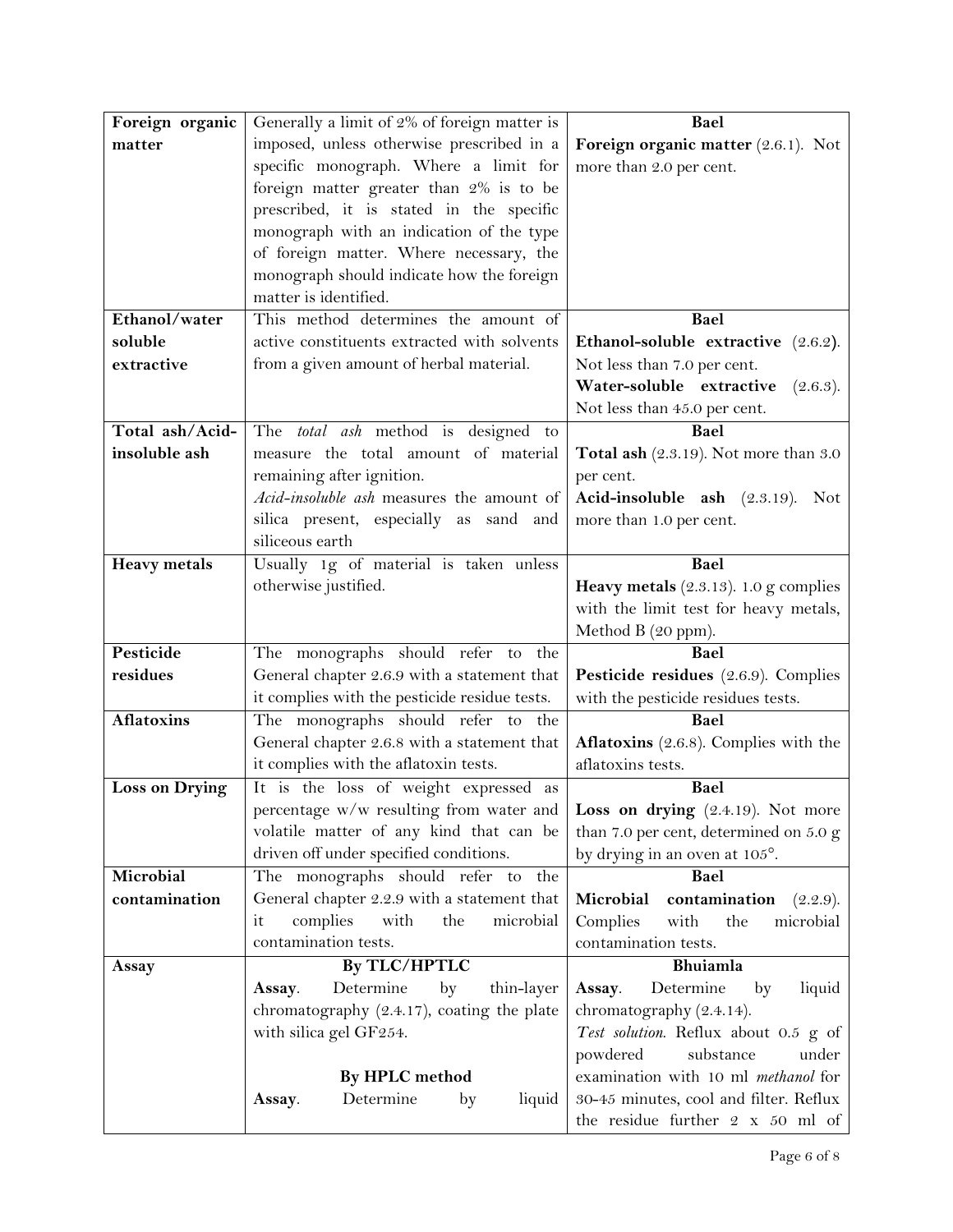| Foreign organic       | Generally a limit of 2% of foreign matter is                                     | Bael                                            |
|-----------------------|----------------------------------------------------------------------------------|-------------------------------------------------|
| matter                | imposed, unless otherwise prescribed in a<br>Foreign organic matter (2.6.1). Not |                                                 |
|                       | specific monograph. Where a limit for                                            | more than 2.0 per cent.                         |
|                       | foreign matter greater than 2% is to be                                          |                                                 |
|                       | prescribed, it is stated in the specific                                         |                                                 |
|                       | monograph with an indication of the type                                         |                                                 |
|                       | of foreign matter. Where necessary, the                                          |                                                 |
|                       | monograph should indicate how the foreign                                        |                                                 |
|                       | matter is identified.                                                            |                                                 |
| Ethanol/water         | This method determines the amount of                                             | Bael                                            |
| soluble               | active constituents extracted with solvents                                      | Ethanol-soluble extractive (2.6.2).             |
| extractive            | from a given amount of herbal material.                                          | Not less than 7.0 per cent.                     |
|                       |                                                                                  | Water-soluble extractive<br>(2.6.3).            |
|                       |                                                                                  | Not less than 45.0 per cent.                    |
| Total ash/Acid-       | The <i>total ash</i> method is designed to                                       | Bael                                            |
| insoluble ash         | measure the total amount of material                                             | Total ash (2.3.19). Not more than 3.0           |
|                       | remaining after ignition.                                                        | per cent.                                       |
|                       | Acid-insoluble ash measures the amount of                                        | Acid-insoluble ash (2.3.19). Not                |
|                       | silica present, especially as sand and                                           | more than 1.0 per cent.                         |
|                       | siliceous earth                                                                  |                                                 |
| <b>Heavy</b> metals   | Usually 1g of material is taken unless                                           | Bael                                            |
|                       | otherwise justified.                                                             | <b>Heavy metals</b> $(2.3.13)$ . 1.0 g complies |
|                       |                                                                                  | with the limit test for heavy metals,           |
|                       |                                                                                  | Method B (20 ppm).                              |
| Pesticide             | The monographs should refer to the                                               | Bael                                            |
| residues              | General chapter 2.6.9 with a statement that                                      | Pesticide residues (2.6.9). Complies            |
|                       | it complies with the pesticide residue tests.                                    | with the pesticide residues tests.              |
| <b>Aflatoxins</b>     | The monographs should refer to the                                               | Bael                                            |
|                       | General chapter 2.6.8 with a statement that                                      | Aflatoxins (2.6.8). Complies with the           |
|                       | it complies with the aflatoxin tests.                                            | aflatoxins tests.                               |
| <b>Loss on Drying</b> | It is the loss of weight expressed as                                            | Bael                                            |
|                       | percentage w/w resulting from water and                                          | Loss on drying (2.4.19). Not more               |
|                       | volatile matter of any kind that can be                                          | than 7.0 per cent, determined on 5.0 g          |
|                       | driven off under specified conditions.                                           | by drying in an oven at 105°.                   |
| Microbial             | The monographs should refer to<br>the                                            | Bael                                            |
| contamination         | General chapter 2.2.9 with a statement that                                      | Microbial<br>contamination<br>(2.2.9).          |
|                       | complies<br>with<br>the<br>microbial<br>it                                       | Complies<br>with<br>the<br>microbial            |
|                       | contamination tests.                                                             | contamination tests.                            |
| Assay                 | By TLC/HPTLC                                                                     | Bhuiamla                                        |
|                       | Determine<br>thin-layer<br>Assay.<br>by                                          | Determine<br>Assay.<br>by<br>liquid             |
|                       | chromatography (2.4.17), coating the plate                                       | chromatography (2.4.14).                        |
|                       | with silica gel GF254.                                                           | Test solution. Reflux about 0.5 g of            |
|                       |                                                                                  | powdered<br>substance<br>under                  |
|                       | By HPLC method                                                                   | examination with 10 ml methanol for             |
|                       | Determine<br>liquid<br>Assay.<br>by                                              | 30-45 minutes, cool and filter. Reflux          |
|                       |                                                                                  | the residue further 2 x 50 ml of                |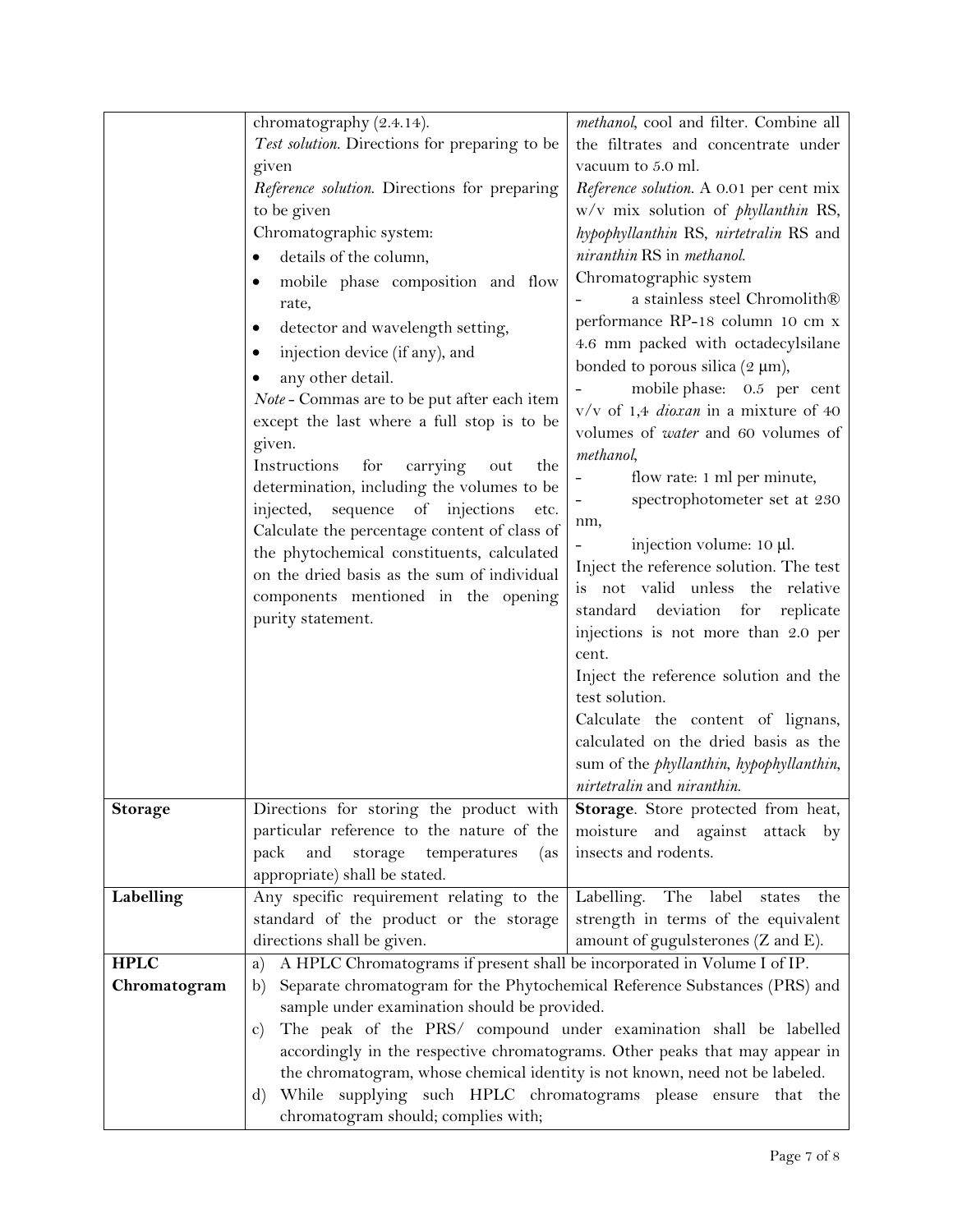|                | chromatography (2.4.14).                                                            | methanol, cool and filter. Combine all                   |
|----------------|-------------------------------------------------------------------------------------|----------------------------------------------------------|
|                | Test solution. Directions for preparing to be                                       | the filtrates and concentrate under                      |
|                | given                                                                               | vacuum to 5.0 ml.                                        |
|                | Reference solution. Directions for preparing                                        | Reference solution. A 0.01 per cent mix                  |
|                | to be given                                                                         | w/v mix solution of <i>phyllanthin</i> RS,               |
|                | Chromatographic system:                                                             | hypophyllanthin RS, nirtetralin RS and                   |
|                | details of the column,                                                              | niranthin RS in methanol.                                |
|                | mobile phase composition and flow<br>٠                                              | Chromatographic system                                   |
|                | rate,                                                                               | a stainless steel Chromolith®                            |
|                | detector and wavelength setting,                                                    | performance RP-18 column 10 cm x                         |
|                | injection device (if any), and                                                      | 4.6 mm packed with octadecylsilane                       |
|                | any other detail.                                                                   | bonded to porous silica $(2 \mu m)$ ,                    |
|                | Note - Commas are to be put after each item                                         | mobile phase: 0.5 per cent                               |
|                | except the last where a full stop is to be                                          | $v/v$ of 1,4 <i>dioxan</i> in a mixture of 40            |
|                | given.                                                                              | volumes of <i>water</i> and 60 volumes of                |
|                | carrying<br>Instructions<br>for<br>out<br>the                                       | methanol,                                                |
|                | determination, including the volumes to be                                          | flow rate: 1 ml per minute,                              |
|                | sequence of injections<br>injected,<br>etc.                                         | spectrophotometer set at 230                             |
|                | Calculate the percentage content of class of                                        | nm,                                                      |
|                | the phytochemical constituents, calculated                                          | injection volume: 10 µl.                                 |
|                | on the dried basis as the sum of individual                                         | Inject the reference solution. The test                  |
|                | components mentioned in the opening                                                 | is not valid unless the relative                         |
|                | purity statement.                                                                   | standard deviation for<br>replicate                      |
|                |                                                                                     | injections is not more than 2.0 per<br>cent.             |
|                |                                                                                     | Inject the reference solution and the                    |
|                |                                                                                     | test solution.                                           |
|                |                                                                                     | Calculate the content of lignans,                        |
|                |                                                                                     | calculated on the dried basis as the                     |
|                |                                                                                     | sum of the <i>phyllanthin</i> , <i>hypophyllanthin</i> , |
|                |                                                                                     | nirtetralin and niranthin.                               |
| <b>Storage</b> | Directions for storing the product with                                             | Storage. Store protected from heat,                      |
|                | particular reference to the nature of the                                           | moisture and against attack by                           |
|                | and<br>temperatures<br>pack<br>storage<br>(as                                       | insects and rodents.                                     |
|                | appropriate) shall be stated.                                                       |                                                          |
| Labelling      | Any specific requirement relating to the                                            | Labelling. The label states<br>the                       |
|                | standard of the product or the storage                                              | strength in terms of the equivalent                      |
|                | directions shall be given.                                                          | amount of gugulsterones (Z and E).                       |
| <b>HPLC</b>    | A HPLC Chromatograms if present shall be incorporated in Volume I of IP.<br>a)      |                                                          |
| Chromatogram   | Separate chromatogram for the Phytochemical Reference Substances (PRS) and<br>b)    |                                                          |
|                | sample under examination should be provided.                                        |                                                          |
|                | The peak of the PRS/ compound under examination shall be labelled<br>$\mathbf{C}$ ) |                                                          |
|                | accordingly in the respective chromatograms. Other peaks that may appear in         |                                                          |
|                | the chromatogram, whose chemical identity is not known, need not be labeled.        |                                                          |
|                | While supplying such HPLC chromatograms please ensure that the<br>$\mathbf{d}$      |                                                          |
|                | chromatogram should; complies with;                                                 |                                                          |